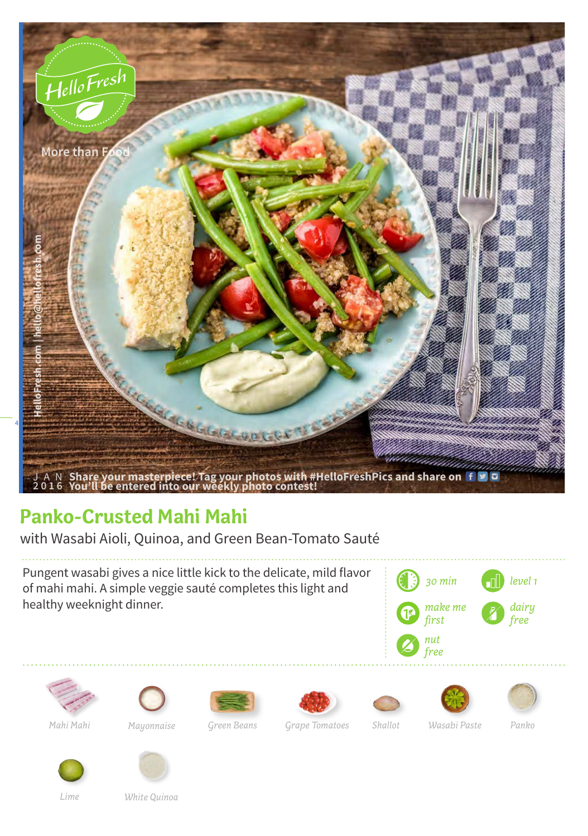

## **Panko-Crusted Mahi Mahi**

with Wasabi Aioli, Quinoa, and Green Bean-Tomato Sauté

Pungent wasabi gives a nice little kick to the delicate, mild flavor of mahi mahi. A simple veggie sauté completes this light and healthy weeknight dinner.









*Mahi Mahi Mayonnaise Green Beans Shallot Wasabi Paste Panko*

*Grape Tomatoes*



*Lime*

*White Quinoa*